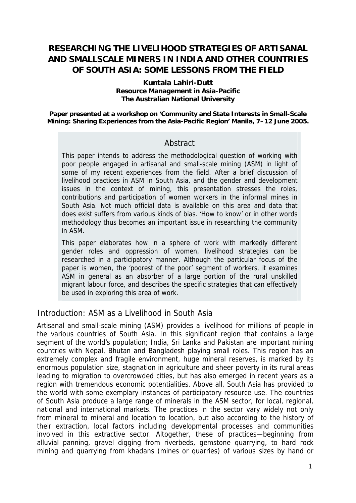# **RESEARCHING THE LIVELIHOOD STRATEGIES OF ARTISANAL AND SMALLSCALE MINERS IN INDIA AND OTHER COUNTRIES OF SOUTH ASIA: SOME LESSONS FROM THE FIELD**

#### **Kuntala Lahiri-Dutt Resource Management in Asia-Pacific The Australian National University**

**Paper presented at a workshop on 'Community and State Interests in Small-Scale Mining: Sharing Experiences from the Asia-Pacific Region' Manila, 7–12 June 2005.** 

### **Abstract**

This paper intends to address the methodological question of working with poor people engaged in artisanal and small-scale mining (ASM) in light of some of my recent experiences from the field. After a brief discussion of livelihood practices in ASM in South Asia, and the gender and development issues in the context of mining, this presentation stresses the roles, contributions and participation of women workers in the informal mines in South Asia. Not much official data is available on this area and data that does exist suffers from various kinds of bias. 'How to know' or in other words methodology thus becomes an important issue in researching the community in ASM.

This paper elaborates how in a sphere of work with markedly different gender roles and oppression of women, livelihood strategies can be researched in a participatory manner. Although the particular focus of the paper is women, the 'poorest of the poor' segment of workers, it examines ASM in general as an absorber of a large portion of the rural unskilled migrant labour force, and describes the specific strategies that can effectively be used in exploring this area of work.

### Introduction: ASM as a Livelihood in South Asia

Artisanal and small-scale mining (ASM) provides a livelihood for millions of people in the various countries of South Asia. In this significant region that contains a large segment of the world's population; India, Sri Lanka and Pakistan are important mining countries with Nepal, Bhutan and Bangladesh playing small roles. This region has an extremely complex and fragile environment, huge mineral reserves, is marked by its enormous population size, stagnation in agriculture and sheer poverty in its rural areas leading to migration to overcrowded cities, but has also emerged in recent years as a region with tremendous economic potentialities. Above all, South Asia has provided to the world with some exemplary instances of participatory resource use. The countries of South Asia produce a large range of minerals in the ASM sector, for local, regional, national and international markets. The practices in the sector vary widely not only from mineral to mineral and location to location, but also according to the history of their extraction, local factors including developmental processes and communities involved in this extractive sector. Altogether, these of practices—beginning from alluvial panning, gravel digging from riverbeds, gemstone quarrying, to hard rock mining and quarrying from khadans (mines or quarries) of various sizes by hand or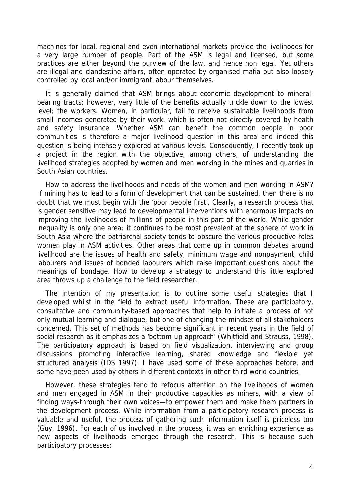machines for local, regional and even international markets provide the livelihoods for a very large number of people. Part of the ASM is legal and licensed, but some practices are either beyond the purview of the law, and hence non legal. Yet others are illegal and clandestine affairs, often operated by organised mafia but also loosely controlled by local and/or immigrant labour themselves.

It is generally claimed that ASM brings about economic development to mineralbearing tracts; however, very little of the benefits actually trickle down to the lowest level; the workers. Women, in particular, fail to receive sustainable livelihoods from small incomes generated by their work, which is often not directly covered by health and safety insurance. Whether ASM can benefit the common people in poor communities is therefore a major livelihood question in this area and indeed this question is being intensely explored at various levels. Consequently, I recently took up a project in the region with the objective, among others, of understanding the livelihood strategies adopted by women and men working in the mines and quarries in South Asian countries.

How to address the livelihoods and needs of the women and men working in ASM? If mining has to lead to a form of development that can be sustained, then there is no doubt that we must begin with the 'poor people first'. Clearly, a research process that is gender sensitive may lead to developmental interventions with enormous impacts on improving the livelihoods of millions of people in this part of the world. While gender inequality is only one area; it continues to be most prevalent at the sphere of work in South Asia where the patriarchal society tends to obscure the various productive roles women play in ASM activities. Other areas that come up in common debates around livelihood are the issues of health and safety, minimum wage and nonpayment, child labourers and issues of bonded labourers which raise important questions about the meanings of bondage. How to develop a strategy to understand this little explored area throws up a challenge to the field researcher.

The intention of my presentation is to outline some useful strategies that I developed whilst in the field to extract useful information. These are participatory, consultative and community-based approaches that help to initiate a process of not only mutual learning and dialogue, but one of changing the mindset of all stakeholders concerned. This set of methods has become significant in recent years in the field of social research as it emphasizes a 'bottom-up approach' (Whitfield and Strauss, 1998). The participatory approach is based on field visualization, interviewing and group discussions promoting interactive learning, shared knowledge and flexible yet structured analysis (IDS 1997). I have used some of these approaches before, and some have been used by others in different contexts in other third world countries.

However, these strategies tend to refocus attention on the livelihoods of women and men engaged in ASM in their productive capacities as miners, with a view of finding ways-through their own voices—to empower them and make them partners in the development process. While information from a participatory research process is valuable and useful, the process of gathering such information itself is priceless too (Guy, 1996). For each of us involved in the process, it was an enriching experience as new aspects of livelihoods emerged through the research. This is because such participatory processes: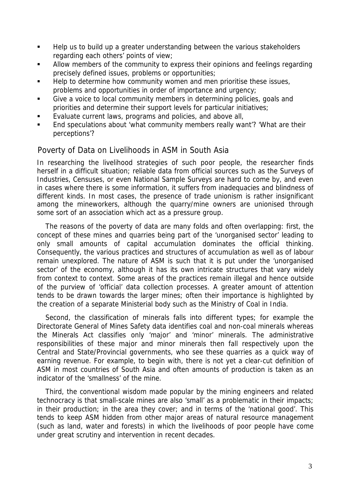- Help us to build up a greater understanding between the various stakeholders regarding each others' points of view;
- Allow members of the community to express their opinions and feelings regarding precisely defined issues, problems or opportunities;
- Help to determine how community women and men prioritise these issues, problems and opportunities in order of importance and urgency;
- Give a voice to local community members in determining policies, goals and priorities and determine their support levels for particular initiatives;
- Evaluate current laws, programs and policies, and above all,
- **End speculations about 'what community members really want'? 'What are their** perceptions'?

### Poverty of Data on Livelihoods in ASM in South Asia

In researching the livelihood strategies of such poor people, the researcher finds herself in a difficult situation; reliable data from official sources such as the Surveys of Industries, Censuses, or even National Sample Surveys are hard to come by, and even in cases where there is some information, it suffers from inadequacies and blindness of different kinds. In most cases, the presence of trade unionism is rather insignificant among the mineworkers, although the quarry/mine owners are unionised through some sort of an association which act as a pressure group.

The reasons of the poverty of data are many folds and often overlapping: first, the concept of these mines and quarries being part of the 'unorganised sector' leading to only small amounts of capital accumulation dominates the official thinking. Consequently, the various practices and structures of accumulation as well as of labour remain unexplored. The nature of ASM is such that it is put under the 'unorganised sector' of the economy, although it has its own intricate structures that vary widely from context to context. Some areas of the practices remain illegal and hence outside of the purview of 'official' data collection processes. A greater amount of attention tends to be drawn towards the larger mines; often their importance is highlighted by the creation of a separate Ministerial body such as the Ministry of Coal in India.

Second, the classification of minerals falls into different types; for example the Directorate General of Mines Safety data identifies coal and non-coal minerals whereas the Minerals Act classifies only 'major' and 'minor' minerals. The administrative responsibilities of these major and minor minerals then fall respectively upon the Central and State/Provincial governments, who see these quarries as a quick way of earning revenue. For example, to begin with, there is not yet a clear-cut definition of ASM in most countries of South Asia and often amounts of production is taken as an indicator of the 'smallness' of the mine.

Third, the conventional wisdom made popular by the mining engineers and related technocracy is that small-scale mines are also 'small' as a problematic in their impacts; in their production; in the area they cover; and in terms of the 'national good'. This tends to keep ASM hidden from other major areas of natural resource management (such as land, water and forests) in which the livelihoods of poor people have come under great scrutiny and intervention in recent decades.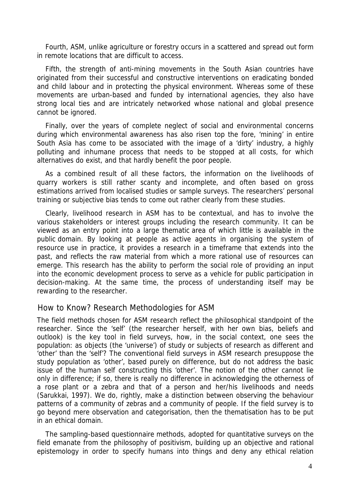Fourth, ASM, unlike agriculture or forestry occurs in a scattered and spread out form in remote locations that are difficult to access.

Fifth, the strength of anti-mining movements in the South Asian countries have originated from their successful and constructive interventions on eradicating bonded and child labour and in protecting the physical environment. Whereas some of these movements are urban-based and funded by international agencies, they also have strong local ties and are intricately networked whose national and global presence cannot be ignored.

Finally, over the years of complete neglect of social and environmental concerns during which environmental awareness has also risen top the fore, 'mining' in entire South Asia has come to be associated with the image of a 'dirty' industry, a highly polluting and inhumane process that needs to be stopped at all costs, for which alternatives do exist, and that hardly benefit the poor people.

As a combined result of all these factors, the information on the livelihoods of quarry workers is still rather scanty and incomplete, and often based on gross estimations arrived from localised studies or sample surveys. The researchers' personal training or subjective bias tends to come out rather clearly from these studies.

Clearly, livelihood research in ASM has to be contextual, and has to involve the various stakeholders or interest groups including the research community. It can be viewed as an entry point into a large thematic area of which little is available in the public domain. By looking at people as active agents in organising the system of resource use in practice, it provides a research in a timeframe that extends into the past, and reflects the raw material from which a more rational use of resources can emerge. This research has the ability to perform the social role of providing an input into the economic development process to serve as a vehicle for public participation in decision-making. At the same time, the process of understanding itself may be rewarding to the researcher.

#### How to Know? Research Methodologies for ASM

The field methods chosen for ASM research reflect the philosophical standpoint of the researcher. Since the 'self' (the researcher herself, with her own bias, beliefs and outlook) is the key tool in field surveys, how, in the social context, one sees the population: as objects (the 'universe') of study or subjects of research as different and 'other' than the 'self'? The conventional field surveys in ASM research presuppose the study population as 'other', based purely on difference, but do not address the basic issue of the human self constructing this 'other'. The notion of the other cannot lie only in difference; if so, there is really no difference in acknowledging the otherness of a rose plant or a zebra and that of a person and her/his livelihoods and needs (Sarukkai, 1997). We do, rightly, make a distinction between observing the behaviour patterns of a community of zebras and a community of people. If the field survey is to go beyond mere observation and categorisation, then the thematisation has to be put in an ethical domain.

The sampling-based questionnaire methods, adopted for quantitative surveys on the field emanate from the philosophy of positivism, building up an objective and rational epistemology in order to specify humans into things and deny any ethical relation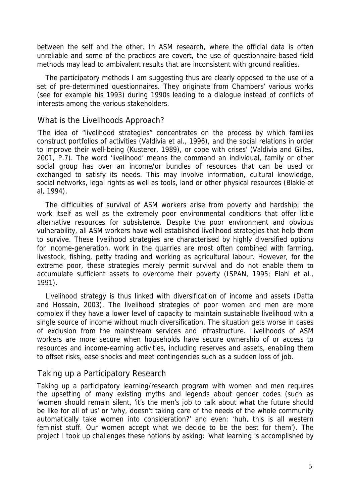between the self and the other. In ASM research, where the official data is often unreliable and some of the practices are covert, the use of questionnaire-based field methods may lead to ambivalent results that are inconsistent with ground realities.

The participatory methods I am suggesting thus are clearly opposed to the use of a set of pre-determined questionnaires. They originate from Chambers' various works (see for example his 1993) during 1990s leading to a dialogue instead of conflicts of interests among the various stakeholders.

### What is the Livelihoods Approach?

'The idea of "livelihood strategies" concentrates on the process by which families construct portfolios of activities (Valdivia et al., 1996), and the social relations in order to improve their well-being (Kusterer, 1989), or cope with crises' (Valdivia and Gilles, 2001, P.7). The word 'livelihood' means the command an individual, family or other social group has over an income/or bundles of resources that can be used or exchanged to satisfy its needs. This may involve information, cultural knowledge, social networks, legal rights as well as tools, land or other physical resources (Blakie et al, 1994).

The difficulties of survival of ASM workers arise from poverty and hardship; the work itself as well as the extremely poor environmental conditions that offer little alternative resources for subsistence. Despite the poor environment and obvious vulnerability, all ASM workers have well established livelihood strategies that help them to survive. These livelihood strategies are characterised by highly diversified options for income-generation, work in the quarries are most often combined with farming, livestock, fishing, petty trading and working as agricultural labour. However, for the extreme poor, these strategies merely permit survival and do not enable them to accumulate sufficient assets to overcome their poverty (ISPAN, 1995; Elahi et al., 1991).

Livelihood strategy is thus linked with diversification of income and assets (Datta and Hossain, 2003). The livelihood strategies of poor women and men are more complex if they have a lower level of capacity to maintain sustainable livelihood with a single source of income without much diversification. The situation gets worse in cases of exclusion from the mainstream services and infrastructure. Livelihoods of ASM workers are more secure when households have secure ownership of or access to resources and income-earning activities, including reserves and assets, enabling them to offset risks, ease shocks and meet contingencies such as a sudden loss of job.

#### Taking up a Participatory Research

Taking up a participatory learning/research program with women and men requires the upsetting of many existing myths and legends about gender codes (such as 'women should remain silent, 'it's the men's job to talk about what the future should be like for all of us' or 'why, doesn't taking care of the needs of the whole community automatically take women into consideration?' and even: 'huh, this is all western feminist stuff. Our women accept what we decide to be the best for them'). The project I took up challenges these notions by asking: 'what learning is accomplished by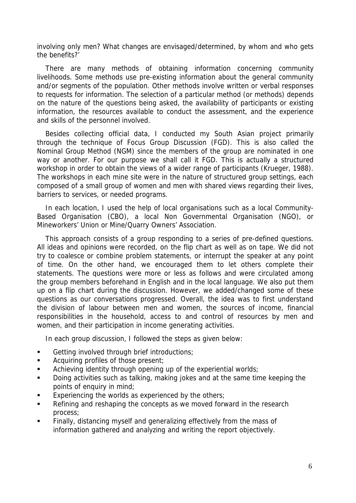involving only men? What changes are envisaged/determined, by whom and who gets the benefits?'

There are many methods of obtaining information concerning community livelihoods. Some methods use pre-existing information about the general community and/or segments of the population. Other methods involve written or verbal responses to requests for information. The selection of a particular method (or methods) depends on the nature of the questions being asked, the availability of participants or existing information, the resources available to conduct the assessment, and the experience and skills of the personnel involved.

Besides collecting official data, I conducted my South Asian project primarily through the technique of Focus Group Discussion (FGD). This is also called the Nominal Group Method (NGM) since the members of the group are nominated in one way or another. For our purpose we shall call it FGD. This is actually a structured workshop in order to obtain the views of a wider range of participants (Krueger, 1988). The workshops in each mine site were in the nature of structured group settings, each composed of a small group of women and men with shared views regarding their lives, barriers to services, or needed programs.

In each location, I used the help of local organisations such as a local Community-Based Organisation (CBO), a local Non Governmental Organisation (NGO), or Mineworkers' Union or Mine/Quarry Owners' Association.

This approach consists of a group responding to a series of pre-defined questions. All ideas and opinions were recorded, on the flip chart as well as on tape. We did not try to coalesce or combine problem statements, or interrupt the speaker at any point of time. On the other hand, we encouraged them to let others complete their statements. The questions were more or less as follows and were circulated among the group members beforehand in English and in the local language. We also put them up on a flip chart during the discussion. However, we added/changed some of these questions as our conversations progressed. Overall, the idea was to first understand the division of labour between men and women, the sources of income, financial responsibilities in the household, access to and control of resources by men and women, and their participation in income generating activities.

In each group discussion, I followed the steps as given below:

- Getting involved through brief introductions;
- **Acquiring profiles of those present;**
- **EXEDENT** Achieving identity through opening up of the experiential worlds;
- Doing activities such as talking, making jokes and at the same time keeping the points of enquiry in mind;
- Experiencing the worlds as experienced by the others;
- Refining and reshaping the concepts as we moved forward in the research process;
- Finally, distancing myself and generalizing effectively from the mass of information gathered and analyzing and writing the report objectively.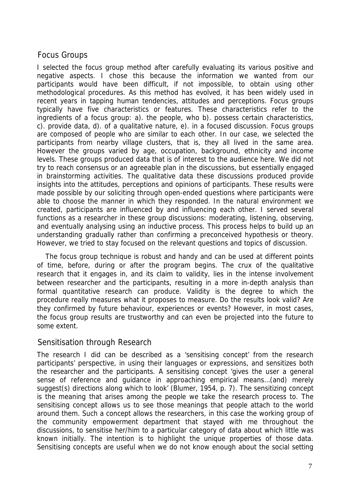## Focus Groups

I selected the focus group method after carefully evaluating its various positive and negative aspects. I chose this because the information we wanted from our participants would have been difficult, if not impossible, to obtain using other methodological procedures. As this method has evolved, it has been widely used in recent years in tapping human tendencies, attitudes and perceptions. Focus groups typically have five characteristics or features. These characteristics refer to the ingredients of a focus group: a). the people, who b). possess certain characteristics, c). provide data, d). of a qualitative nature, e). in a focused discussion. Focus groups are composed of people who are similar to each other. In our case, we selected the participants from nearby village clusters, that is, they all lived in the same area. However the groups varied by age, occupation, background, ethnicity and income levels. These groups produced data that is of interest to the audience here. We did not try to reach consensus or an agreeable plan in the discussions, but essentially engaged in brainstorming activities. The qualitative data these discussions produced provide insights into the attitudes, perceptions and opinions of participants. These results were made possible by our soliciting through open-ended questions where participants were able to choose the manner in which they responded. In the natural environment we created, participants are influenced by and influencing each other. I served several functions as a researcher in these group discussions: moderating, listening, observing, and eventually analysing using an inductive process. This process helps to build up an understanding gradually rather than confirming a preconceived hypothesis or theory. However, we tried to stay focused on the relevant questions and topics of discussion.

The focus group technique is robust and handy and can be used at different points of time, before, during or after the program begins. The crux of the qualitative research that it engages in, and its claim to validity, lies in the intense involvement between researcher and the participants, resulting in a more in-depth analysis than formal quantitative research can produce. Validity is the degree to which the procedure really measures what it proposes to measure. Do the results look valid? Are they confirmed by future behaviour, experiences or events? However, in most cases, the focus group results are trustworthy and can even be projected into the future to some extent.

### Sensitisation through Research

The research I did can be described as a 'sensitising concept' from the research participants' perspective, in using their languages or expressions, and sensitizes both the researcher and the participants. A sensitising concept 'gives the user a general sense of reference and guidance in approaching empirical means…(and) merely suggest(s) directions along which to look' (Blumer, 1954, p. 7). The sensitizing concept is the meaning that arises among the people we take the research process to. The sensitising concept allows us to see those meanings that people attach to the world around them. Such a concept allows the researchers, in this case the working group of the community empowerment department that stayed with me throughout the discussions, to sensitise her/him to a particular category of data about which little was known initially. The intention is to highlight the unique properties of those data. Sensitising concepts are useful when we do not know enough about the social setting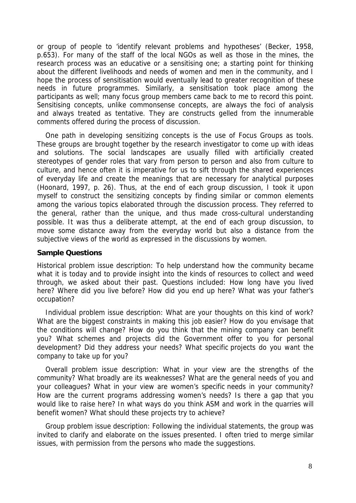or group of people to 'identify relevant problems and hypotheses' (Becker, 1958, p.653). For many of the staff of the local NGOs as well as those in the mines, the research process was an educative or a sensitising one; a starting point for thinking about the different livelihoods and needs of women and men in the community, and I hope the process of sensitisation would eventually lead to greater recognition of these needs in future programmes. Similarly, a sensitisation took place among the participants as well; many focus group members came back to me to record this point. Sensitising concepts, unlike commonsense concepts, are always the foci of analysis and always treated as tentative. They are constructs gelled from the innumerable comments offered during the process of discussion.

One path in developing sensitizing concepts is the use of Focus Groups as tools. These groups are brought together by the research investigator to come up with ideas and solutions. The social landscapes are usually filled with artificially created stereotypes of gender roles that vary from person to person and also from culture to culture, and hence often it is imperative for us to sift through the shared experiences of everyday life and create the meanings that are necessary for analytical purposes (Hoonard, 1997, p. 26). Thus, at the end of each group discussion, I took it upon myself to construct the sensitizing concepts by finding similar or common elements among the various topics elaborated through the discussion process. They referred to the general, rather than the unique, and thus made cross-cultural understanding possible. It was thus a deliberate attempt, at the end of each group discussion, to move some distance away from the everyday world but also a distance from the subjective views of the world as expressed in the discussions by women.

#### **Sample Questions**

Historical problem issue description: To help understand how the community became what it is today and to provide insight into the kinds of resources to collect and weed through, we asked about their past. Questions included: How long have you lived here? Where did you live before? How did you end up here? What was your father's occupation?

Individual problem issue description: What are your thoughts on this kind of work? What are the biggest constraints in making this job easier? How do you envisage that the conditions will change? How do you think that the mining company can benefit you? What schemes and projects did the Government offer to you for personal development? Did they address your needs? What specific projects do you want the company to take up for you?

Overall problem issue description: What in your view are the strengths of the community? What broadly are its weaknesses? What are the general needs of you and your colleagues? What in your view are women's specific needs in your community? How are the current programs addressing women's needs? Is there a gap that you would like to raise here? In what ways do you think ASM and work in the quarries will benefit women? What should these projects try to achieve?

Group problem issue description: Following the individual statements, the group was invited to clarify and elaborate on the issues presented. I often tried to merge similar issues, with permission from the persons who made the suggestions.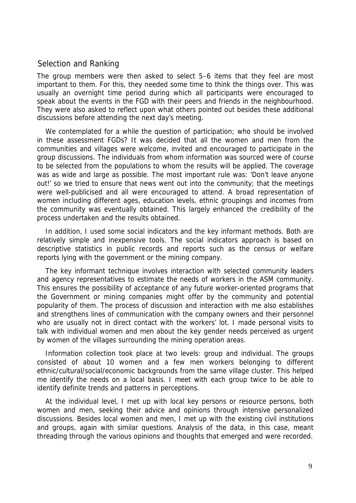### Selection and Ranking

The group members were then asked to select 5–6 items that they feel are most important to them. For this, they needed some time to think the things over. This was usually an overnight time period during which all participants were encouraged to speak about the events in the FGD with their peers and friends in the neighbourhood. They were also asked to reflect upon what others pointed out besides these additional discussions before attending the next day's meeting.

We contemplated for a while the question of participation; who should be involved in these assessment FGDs? It was decided that all the women and men from the communities and villages were welcome, invited and encouraged to participate in the group discussions. The individuals from whom information was sourced were of course to be selected from the populations to whom the results will be applied. The coverage was as wide and large as possible. The most important rule was: 'Don't leave anyone out!' so we tried to ensure that news went out into the community; that the meetings were well-publicised and all were encouraged to attend. A broad representation of women including different ages, education levels, ethnic groupings and incomes from the community was eventually obtained. This largely enhanced the credibility of the process undertaken and the results obtained.

In addition, I used some social indicators and the key informant methods. Both are relatively simple and inexpensive tools. The social indicators approach is based on descriptive statistics in public records and reports such as the census or welfare reports lying with the government or the mining company.

The key informant technique involves interaction with selected community leaders and agency representatives to estimate the needs of workers in the ASM community. This ensures the possibility of acceptance of any future worker-oriented programs that the Government or mining companies might offer by the community and potential popularity of them. The process of discussion and interaction with me also establishes and strengthens lines of communication with the company owners and their personnel who are usually not in direct contact with the workers' lot. I made personal visits to talk with individual women and men about the key gender needs perceived as urgent by women of the villages surrounding the mining operation areas.

Information collection took place at two levels: group and individual. The groups consisted of about 10 women and a few men workers belonging to different ethnic/cultural/social/economic backgrounds from the same village cluster. This helped me identify the needs on a local basis. I meet with each group twice to be able to identify definite trends and patterns in perceptions.

At the individual level, I met up with local key persons or resource persons, both women and men, seeking their advice and opinions through intensive personalized discussions. Besides local women and men, I met up with the existing civil institutions and groups, again with similar questions. Analysis of the data, in this case, meant threading through the various opinions and thoughts that emerged and were recorded.